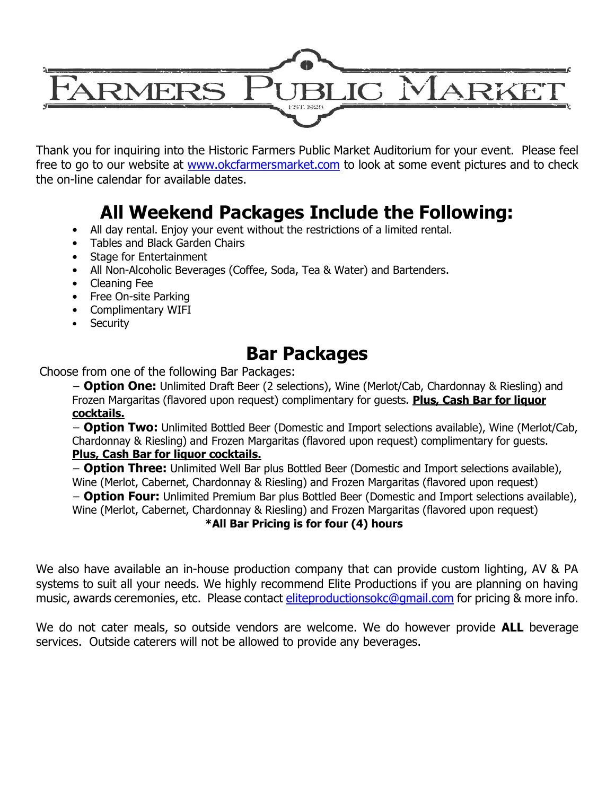

Thank you for inquiring into the Historic Farmers Public Market Auditorium for your event. Please feel free to go to our website at [www.okcfarmersmarket.com](http://www.okcfarmersmarket.com/) to look at some event pictures and to check the on-line calendar for available dates.

# **All Weekend Packages Include the Following:**

- All day rental. Enjoy your event without the restrictions of a limited rental.
- Tables and Black Garden Chairs
- Stage for Entertainment
- All Non-Alcoholic Beverages (Coffee, Soda, Tea & Water) and Bartenders.
- Cleaning Fee
- Free On-site Parking
- Complimentary WIFI
- **Security**

## **Bar Packages**

Choose from one of the following Bar Packages:

− **Option One:** Unlimited Draft Beer (2 selections), Wine (Merlot/Cab, Chardonnay & Riesling) and Frozen Margaritas (flavored upon request) complimentary for guests. **Plus, Cash Bar for liquor cocktails.**

− **Option Two:** Unlimited Bottled Beer (Domestic and Import selections available), Wine (Merlot/Cab, Chardonnay & Riesling) and Frozen Margaritas (flavored upon request) complimentary for guests.

#### **Plus, Cash Bar for liquor cocktails.**

− **Option Three:** Unlimited Well Bar plus Bottled Beer (Domestic and Import selections available), Wine (Merlot, Cabernet, Chardonnay & Riesling) and Frozen Margaritas (flavored upon request)

− **Option Four:** Unlimited Premium Bar plus Bottled Beer (Domestic and Import selections available), Wine (Merlot, Cabernet, Chardonnay & Riesling) and Frozen Margaritas (flavored upon request)

#### **\*All Bar Pricing is for four (4) hours**

We also have available an in-house production company that can provide custom lighting, AV & PA systems to suit all your needs. We highly recommend Elite Productions if you are planning on having music, awards ceremonies, etc. Please contact [eliteproductionsokc@gmail.com](mailto:eliteproductionsokc@gmail.com) for pricing & more info.

We do not cater meals, so outside vendors are welcome. We do however provide **ALL** beverage services. Outside caterers will not be allowed to provide any beverages.